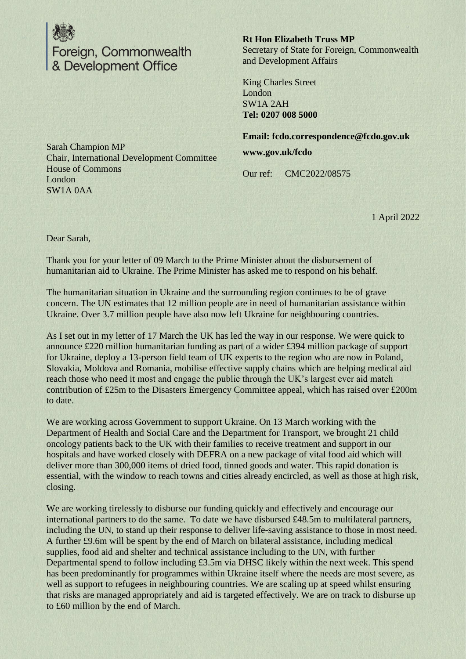

**Rt Hon Elizabeth Truss MP** Secretary of State for Foreign, Commonwealth and Development Affairs

King Charles Street London SW1A 2AH **Tel: 0207 008 5000**

**Email: fcdo.correspondence@fcdo.gov.uk www.gov.uk/fcdo**

Our ref: CMC2022/08575

1 April 2022

Sarah Champion MP Chair, International Development Committee House of Commons London SW1A 0AA

Dear Sarah,

Thank you for your letter of 09 March to the Prime Minister about the disbursement of humanitarian aid to Ukraine. The Prime Minister has asked me to respond on his behalf.

The humanitarian situation in Ukraine and the surrounding region continues to be of grave concern. The UN estimates that 12 million people are in need of humanitarian assistance within Ukraine. Over 3.7 million people have also now left Ukraine for neighbouring countries.

As I set out in my letter of 17 March the UK has led the way in our response. We were quick to announce £220 million humanitarian funding as part of a wider £394 million package of support for Ukraine, deploy a 13-person field team of UK experts to the region who are now in Poland, Slovakia, Moldova and Romania, mobilise effective supply chains which are helping medical aid reach those who need it most and engage the public through the UK's largest ever aid match contribution of £25m to the Disasters Emergency Committee appeal, which has raised over £200m to date.

We are working across Government to support Ukraine. On 13 March working with the Department of Health and Social Care and the Department for Transport, we brought 21 child oncology patients back to the UK with their families to receive treatment and support in our hospitals and have worked closely with DEFRA on a new package of vital food aid which will deliver more than 300,000 items of dried food, tinned goods and water. This rapid donation is essential, with the window to reach towns and cities already encircled, as well as those at high risk, closing.

We are working tirelessly to disburse our funding quickly and effectively and encourage our international partners to do the same. To date we have disbursed £48.5m to multilateral partners, including the UN, to stand up their response to deliver life-saving assistance to those in most need. A further £9.6m will be spent by the end of March on bilateral assistance, including medical supplies, food aid and shelter and technical assistance including to the UN, with further Departmental spend to follow including £3.5m via DHSC likely within the next week. This spend has been predominantly for programmes within Ukraine itself where the needs are most severe, as well as support to refugees in neighbouring countries. We are scaling up at speed whilst ensuring that risks are managed appropriately and aid is targeted effectively. We are on track to disburse up to £60 million by the end of March.